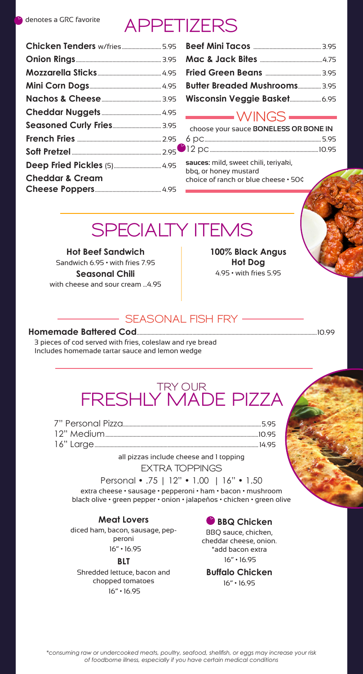## **APPETIZERS**

| Chicken Tenders w/fries5.95 |
|-----------------------------|
|                             |
|                             |
|                             |
|                             |
|                             |
|                             |
|                             |
|                             |
|                             |
|                             |
|                             |

| <b>Butter Breaded Mushrooms 3.95</b> |  |
|--------------------------------------|--|
|                                      |  |

## **WINGS**

| choose your sauce BONELESS OR BONE IN |  |
|---------------------------------------|--|
|                                       |  |
|                                       |  |
|                                       |  |

**sauces:** mild, sweet chili, teriyaki, bbq, or honey mustard choice of ranch or blue cheese • 50¢

## **SPECIALTY ITEMS**

**Hot Beef Sandwich** Sandwich 6.95 • with fries 7.95 **Seasonal Chili**  with cheese and sour cream ...4.95 **100% Black Angus Hot Dog** 4.95 • with fries 5.95

### **SEASONAL FISH FRY**

#### **Homemade Battered Cod**.....................................................................................................................................10.99

3 pieces of cod served with fries, coleslaw and rye bread Includes homemade tartar sauce and lemon wedge

## **TRY OUR FRESHLY MADE PIZZA**

all pizzas include cheese and 1 topping

**EXTRA TOPPINGS**

#### Personal • .75 | 12" • 1.00 | 16" • 1.50

extra cheese • sausage • pepperoni • ham • bacon • mushroom black olive • green pepper • onion • jalapeños • chicken • green olive

#### **Meat Lovers**

diced ham, bacon, sausage, pepperoni 16" • 16.95

**BLT**

Shredded lettuce, bacon and chopped tomatoes 16" • 16.95

### **BBQ Chicken**

BBQ sauce, chicken, cheddar cheese, onion. \*add bacon extra 16" • 16.95

**Buffalo Chicken** 16" • 16.95